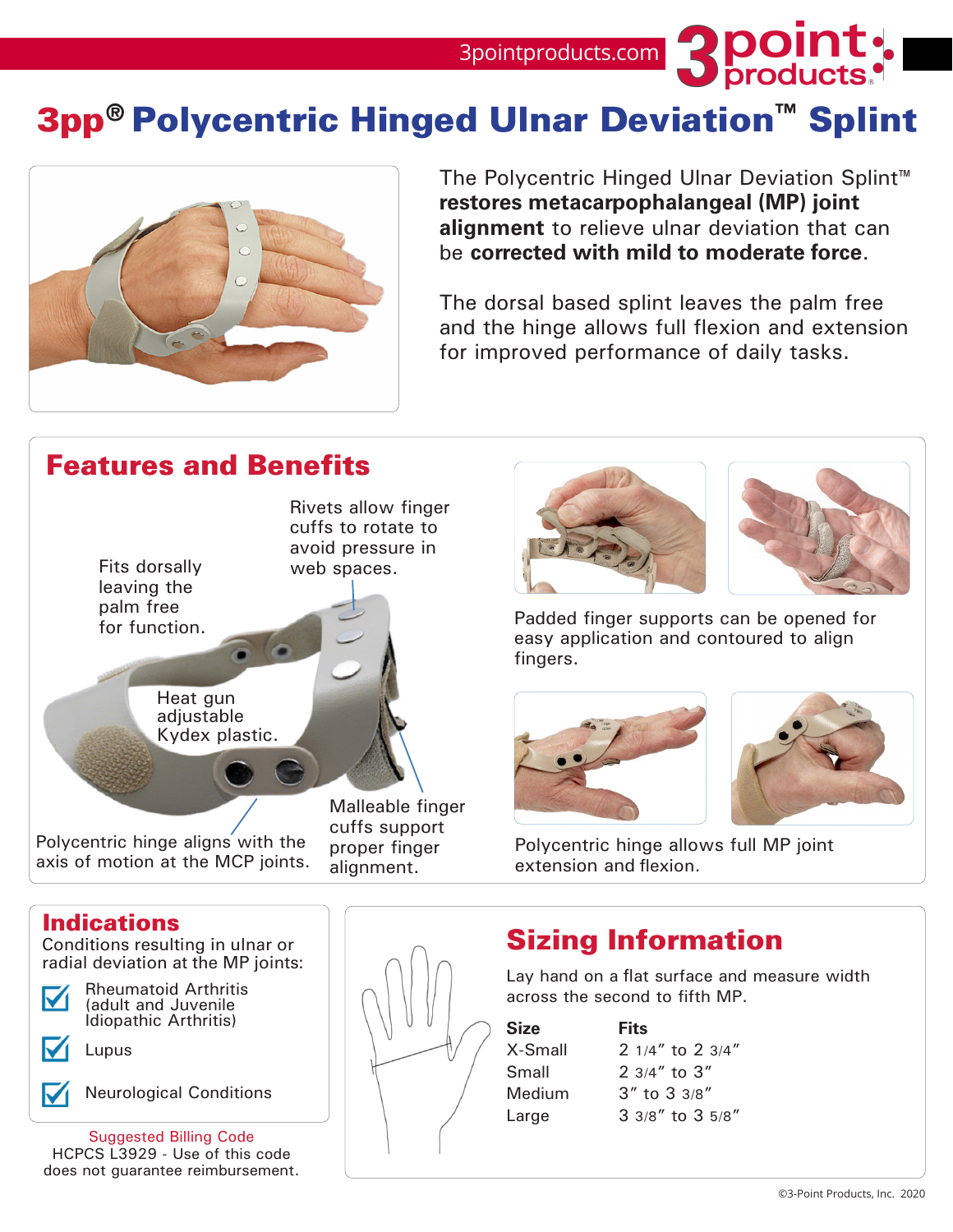3pointproducts.com **3DOINT** 

# 3pp® Polycentric Hinged Ulnar Deviation™ Splint



The Polycentric Hinged Ulnar Deviation Splint™ **restores metacarpophalangeal (MP) joint alignment** to relieve ulnar deviation that can be **corrected with mild to moderate force**.

The dorsal based splint leaves the palm free and the hinge allows full flexion and extension for improved performance of daily tasks.

## Features and Benefits







Padded finger supports can be opened for easy application and contoured to align fingers.





Polycentric hinge allows full MP joint extension and flexion.



(adult and Juvenile Idiopathic Arthritis)

Lupus

Neurological Conditions

Suggested Billing Code HCPCS L3929 - Use of this code does not guarantee reimbursement.



Lay hand on a flat surface and measure width across the second to fifth MP.

**Size Fits**

X-Small 2 1/4" to 2 3/4" Small 2 3/4" to 3" Medium 3" to 3 3/8" Large 3 3/8" to 3 5/8"